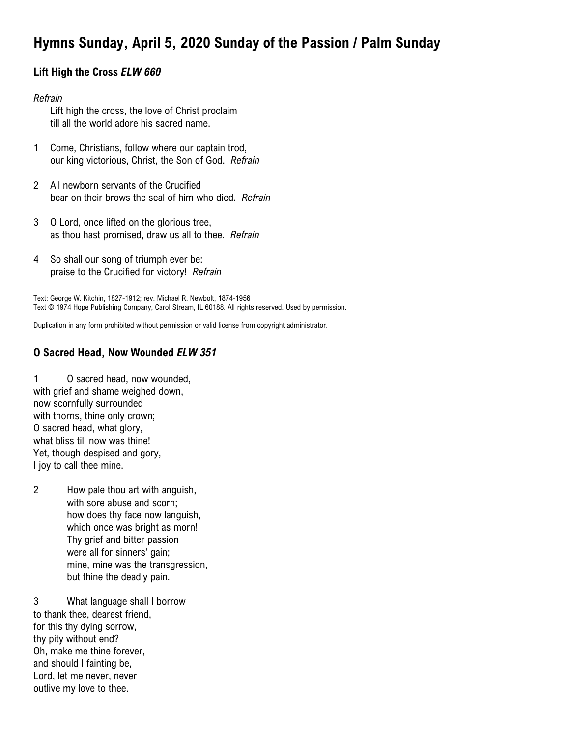# **Hymns Sunday, April 5, 2020 Sunday of the Passion / Palm Sunday**

## **Lift High the Cross** *ELW 660*

#### *Refrain*

Lift high the cross, the love of Christ proclaim till all the world adore his sacred name.

- 1 Come, Christians, follow where our captain trod, our king victorious, Christ, the Son of God. *Refrain*
- 2 All newborn servants of the Crucified bear on their brows the seal of him who died. *Refrain*
- 3 O Lord, once lifted on the glorious tree, as thou hast promised, draw us all to thee. *Refrain*
- 4 So shall our song of triumph ever be: praise to the Crucified for victory! *Refrain*

Text: George W. Kitchin, 1827-1912; rev. Michael R. Newbolt, 1874-1956 Text © 1974 Hope Publishing Company, Carol Stream, IL 60188. All rights reserved. Used by permission.

Duplication in any form prohibited without permission or valid license from copyright administrator.

## **O Sacred Head, Now Wounded** *ELW 351*

1 O sacred head, now wounded, with grief and shame weighed down, now scornfully surrounded with thorns, thine only crown; O sacred head, what glory, what bliss till now was thine! Yet, though despised and gory, I joy to call thee mine.

2 How pale thou art with anguish, with sore abuse and scorn; how does thy face now languish, which once was bright as morn! Thy grief and bitter passion were all for sinners' gain; mine, mine was the transgression, but thine the deadly pain.

3 What language shall I borrow to thank thee, dearest friend, for this thy dying sorrow, thy pity without end? Oh, make me thine forever, and should I fainting be, Lord, let me never, never outlive my love to thee.